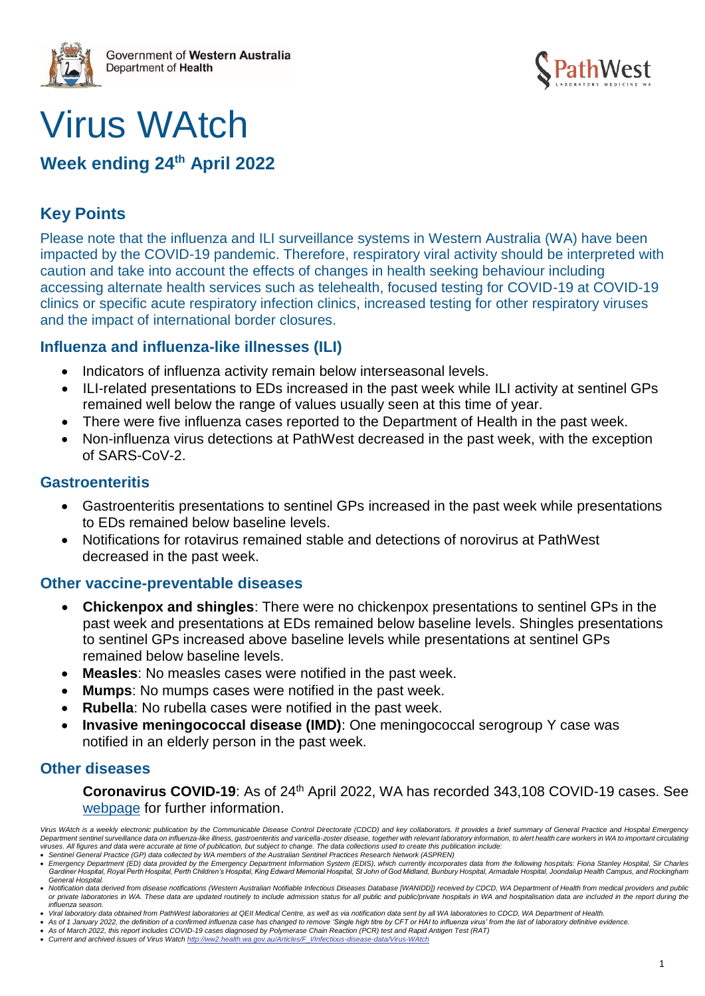

# Virus WAtch

# **Week ending 24th April 2022**

# **Key Points**

Please note that the influenza and ILI surveillance systems in Western Australia (WA) have been impacted by the COVID-19 pandemic. Therefore, respiratory viral activity should be interpreted with caution and take into account the effects of changes in health seeking behaviour including accessing alternate health services such as telehealth, focused testing for COVID-19 at COVID-19 clinics or specific acute respiratory infection clinics, increased testing for other respiratory viruses and the impact of international border closures.

## **Influenza and influenza-like illnesses (ILI)**

- Indicators of influenza activity remain below interseasonal levels.
- ILI-related presentations to EDs increased in the past week while ILI activity at sentinel GPs remained well below the range of values usually seen at this time of year.
- There were five influenza cases reported to the Department of Health in the past week.
- Non-influenza virus detections at PathWest decreased in the past week, with the exception of SARS-CoV-2.

## **Gastroenteritis**

- Gastroenteritis presentations to sentinel GPs increased in the past week while presentations to EDs remained below baseline levels.
- Notifications for rotavirus remained stable and detections of norovirus at PathWest decreased in the past week.

## **Other vaccine-preventable diseases**

- **Chickenpox and shingles**: There were no chickenpox presentations to sentinel GPs in the past week and presentations at EDs remained below baseline levels. Shingles presentations to sentinel GPs increased above baseline levels while presentations at sentinel GPs remained below baseline levels.
- **Measles**: No measles cases were notified in the past week.
- **Mumps**: No mumps cases were notified in the past week.
- **Rubella**: No rubella cases were notified in the past week.
- **Invasive meningococcal disease (IMD)**: One meningococcal serogroup Y case was notified in an elderly person in the past week.

## **Other diseases**

**Coronavirus COVID-19**: As of 24th April 2022, WA has recorded 343,108 COVID-19 cases. See [webpage](https://ww2.health.wa.gov.au/Articles/A_E/Coronavirus) for further information.

*Virus WAtch is a weekly electronic publication by the Communicable Disease Control Directorate (CDCD) and key collaborators. It provides a brief summary of General Practice and Hospital Emergency*  Department sentinel surveillance data on influenza-like illness, gastroenteritis and varicella-zoster disease, together with relevant laboratory information, to alert health care workers in WA to important circulating<br>viru

<sup>•</sup> *Sentinel General Practice (GP) data collected by WA members of the Australian Sentinel Practices Research Network (ASPREN)* 

<sup>•</sup> *Emergency Department (ED) data provided by the Emergency Department Information System (EDIS), which currently incorporates data from the following hospitals: Fiona Stanley Hospital, Sir Charles*  Gardiner Hospital, Royal Perth Hospital, Perth Children's Hospital, King Edward Memorial Hospital, St John of God Midland, Bunbury Hospital, Armadale Hospital, Joondalup Health Campus, and Rockingham *General Hospital.* 

<sup>•</sup> *Notification data derived from disease notifications (Western Australian Notifiable Infectious Diseases Database [WANIDD]) received by CDCD, WA Department of Health from medical providers and public*  or private laboratories in WA. These data are updated routinely to include admission status for all public and public/private hospitals in WA and hospitalisation data are included in the report during the *influenza season.*

<sup>•</sup> *Viral laboratory data obtained from PathWest laboratories at QEII Medical Centre, as well as via notification data sent by all WA laboratories to CDCD, WA Department of Health.*

<sup>•</sup> As of 1 January 2022, the definition of a confirmed influenza case has changed to remove 'Single high titre by CFT or HAI to influenza virus' from the list of laboratory definitive evidence.<br>• As of March 2022, this repo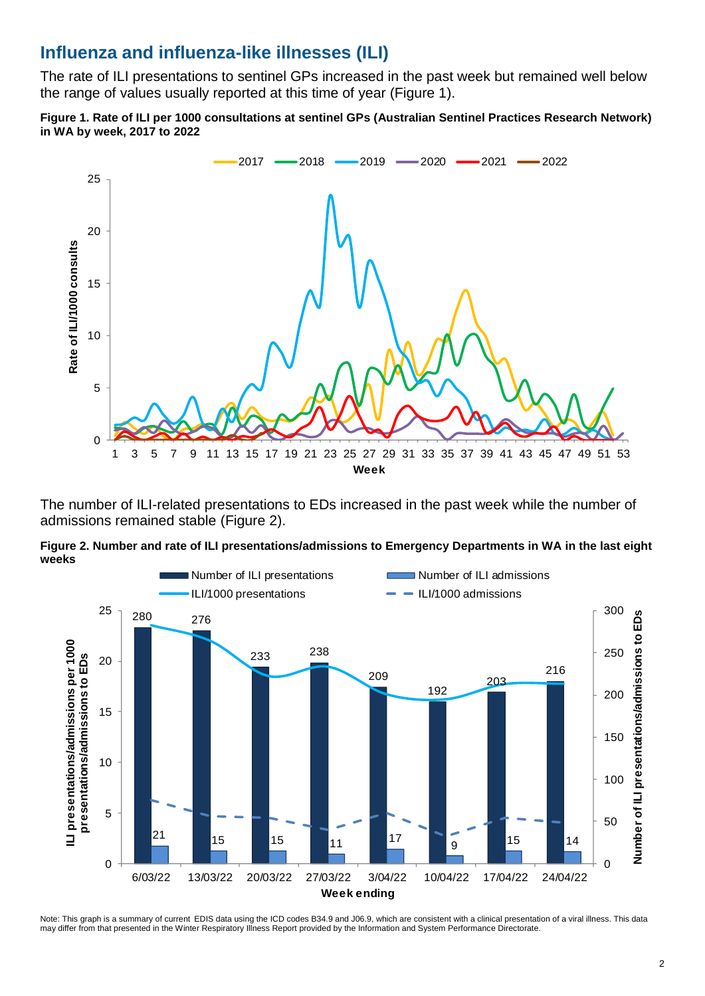# **Influenza and influenza-like illnesses (ILI)**

The rate of ILI presentations to sentinel GPs increased in the past week but remained well below the range of values usually reported at this time of year (Figure 1).

**Figure 1. Rate of ILI per 1000 consultations at sentinel GPs (Australian Sentinel Practices Research Network) in WA by week, 2017 to 2022**



The number of ILI-related presentations to EDs increased in the past week while the number of admissions remained stable (Figure 2).





Note: This graph is a summary of current EDIS data using the ICD codes B34.9 and J06.9, which are consistent with a clinical presentation of a viral illness. This data may differ from that presented in the Winter Respiratory Illness Report provided by the Information and System Performance Directorate.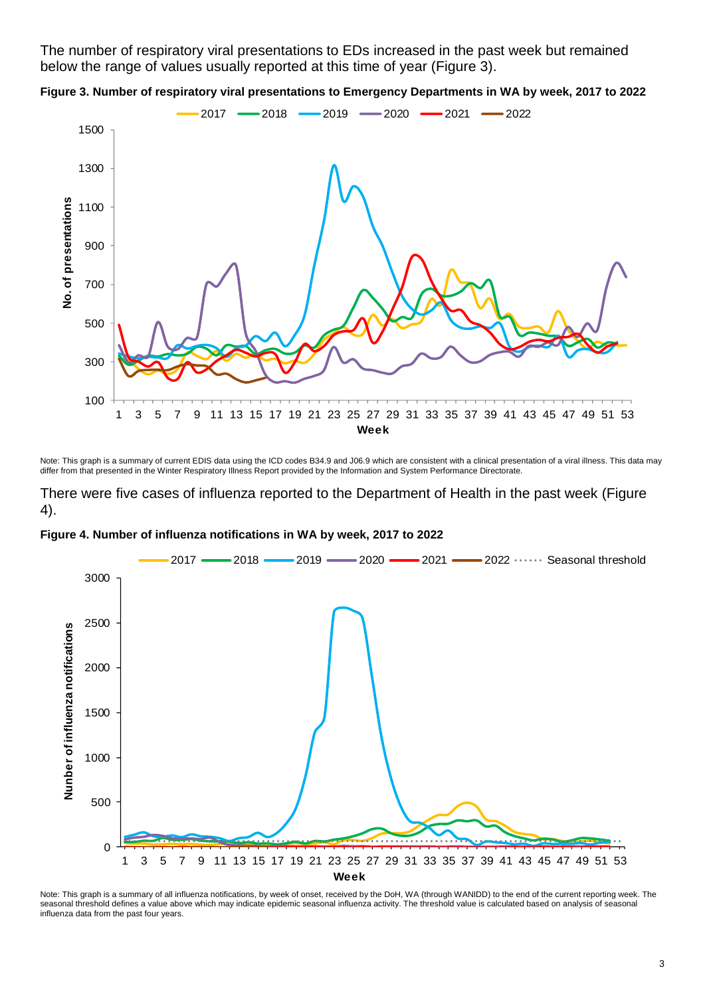The number of respiratory viral presentations to EDs increased in the past week but remained below the range of values usually reported at this time of year (Figure 3).





Note: This graph is a summary of current EDIS data using the ICD codes B34.9 and J06.9 which are consistent with a clinical presentation of a viral illness. This data may differ from that presented in the Winter Respiratory Illness Report provided by the Information and System Performance Directorate.

There were five cases of influenza reported to the Department of Health in the past week (Figure 4).





Note: This graph is a summary of all influenza notifications, by week of onset, received by the DoH, WA (through WANIDD) to the end of the current reporting week. The seasonal threshold defines a value above which may indicate epidemic seasonal influenza activity. The threshold value is calculated based on analysis of seasonal influenza data from the past four years.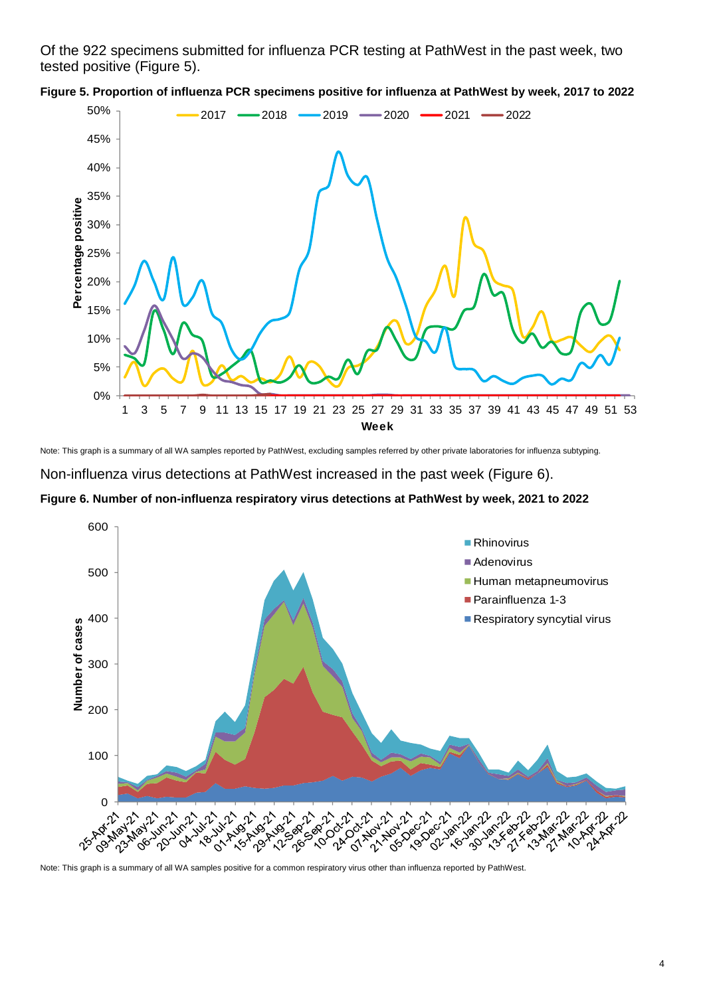Of the 922 specimens submitted for influenza PCR testing at PathWest in the past week, two tested positive (Figure 5).





Note: This graph is a summary of all WA samples reported by PathWest, excluding samples referred by other private laboratories for influenza subtyping.

Non-influenza virus detections at PathWest increased in the past week (Figure 6).

**Figure 6. Number of non-influenza respiratory virus detections at PathWest by week, 2021 to 2022**

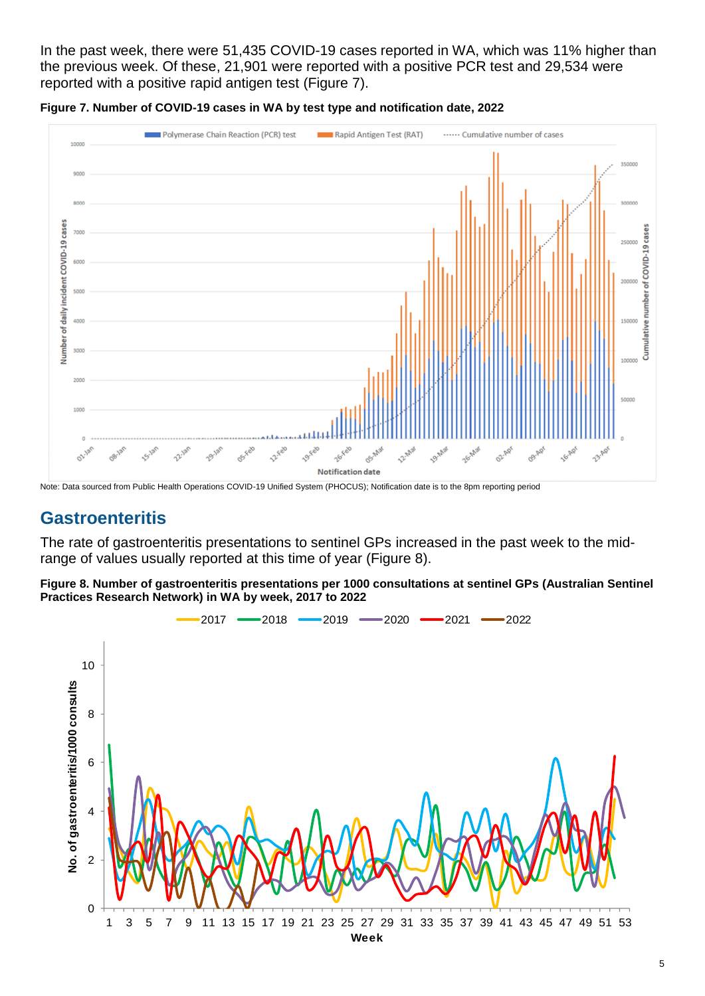In the past week, there were 51,435 COVID-19 cases reported in WA, which was 11% higher than the previous week. Of these, 21,901 were reported with a positive PCR test and 29,534 were reported with a positive rapid antigen test (Figure 7).





Note: Data sourced from Public Health Operations COVID-19 Unified System (PHOCUS); Notification date is to the 8pm reporting period

## **Gastroenteritis**

The rate of gastroenteritis presentations to sentinel GPs increased in the past week to the midrange of values usually reported at this time of year (Figure 8).

**Figure 8. Number of gastroenteritis presentations per 1000 consultations at sentinel GPs (Australian Sentinel Practices Research Network) in WA by week, 2017 to 2022**

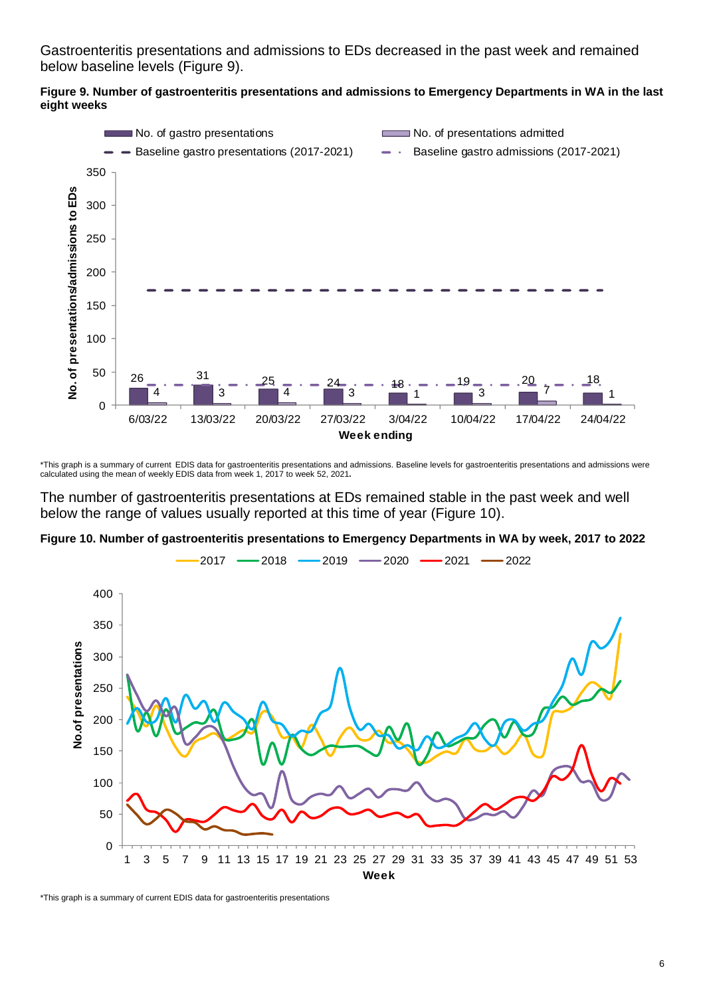Gastroenteritis presentations and admissions to EDs decreased in the past week and remained below baseline levels (Figure 9).





\*This graph is a summary of current EDIS data for gastroenteritis presentations and admissions. Baseline levels for gastroenteritis presentations and admissions were calculated using the mean of weekly EDIS data from week 1, 2017 to week 52, 2021**.**

The number of gastroenteritis presentations at EDs remained stable in the past week and well below the range of values usually reported at this time of year (Figure 10).

**Figure 10. Number of gastroenteritis presentations to Emergency Departments in WA by week, 2017 to 2022**



\*This graph is a summary of current EDIS data for gastroenteritis presentations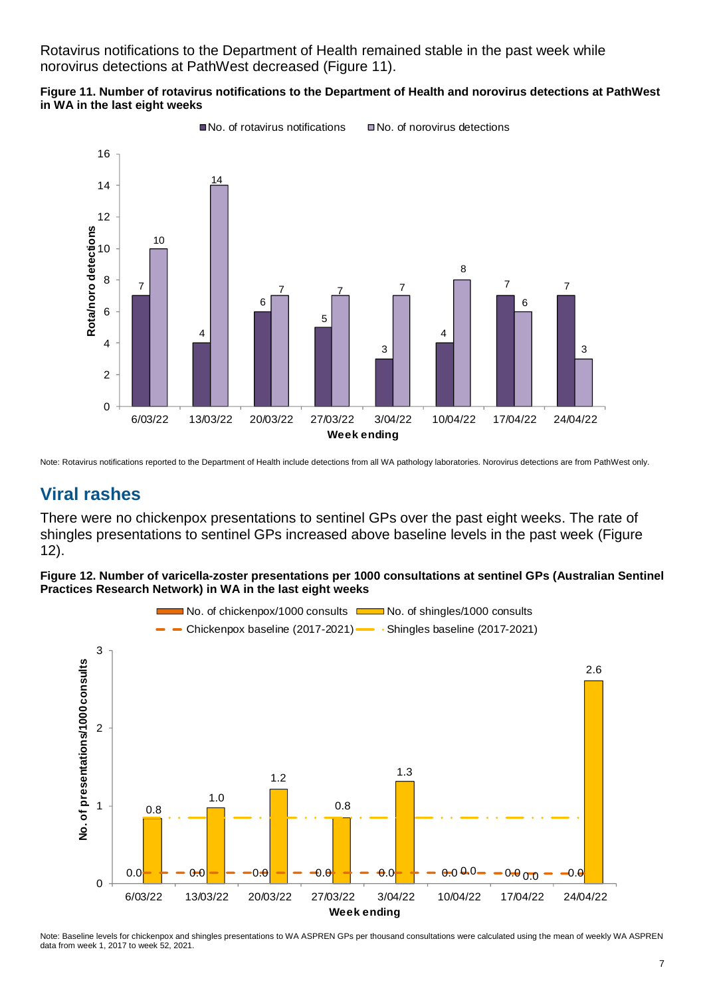Rotavirus notifications to the Department of Health remained stable in the past week while norovirus detections at PathWest decreased (Figure 11).

#### **Figure 11. Number of rotavirus notifications to the Department of Health and norovirus detections at PathWest in WA in the last eight weeks**



Note: Rotavirus notifications reported to the Department of Health include detections from all WA pathology laboratories. Norovirus detections are from PathWest only.

# **Viral rashes**

There were no chickenpox presentations to sentinel GPs over the past eight weeks. The rate of shingles presentations to sentinel GPs increased above baseline levels in the past week (Figure 12).

**Figure 12. Number of varicella-zoster presentations per 1000 consultations at sentinel GPs (Australian Sentinel Practices Research Network) in WA in the last eight weeks**



Note: Baseline levels for chickenpox and shingles presentations to WA ASPREN GPs per thousand consultations were calculated using the mean of weekly WA ASPREN data from week 1, 2017 to week 52, 2021.